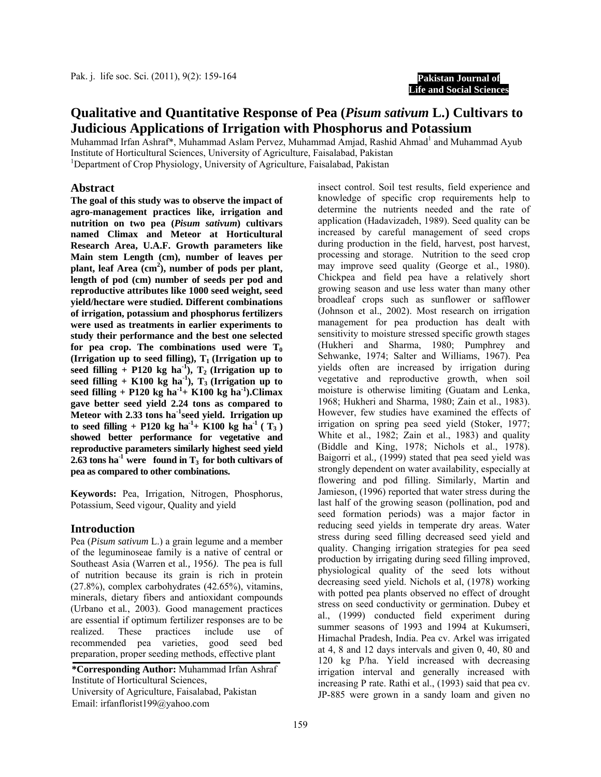**Pakistan Journal of Life and Social Sciences**

# **Qualitative and Quantitative Response of Pea (***Pisum sativum* **L.) Cultivars to Judicious Applications of Irrigation with Phosphorus and Potassium**

Muhammad Irfan Ashraf\*, Muhammad Aslam Pervez, Muhammad Amjad, Rashid Ahmad<sup>1</sup> and Muhammad Ayub Institute of Horticultural Sciences, University of Agriculture, Faisalabad, Pakistan 1 <sup>1</sup>Department of Crop Physiology, University of Agriculture, Faisalabad, Pakistan

#### **Abstract**

**The goal of this study was to observe the impact of agro-management practices like, irrigation and nutrition on two pea (***Pisum sativum***) cultivars named Climax and Meteor at Horticultural Research Area, U.A.F. Growth parameters like Main stem Length (cm), number of leaves per**  plant, leaf Area (cm<sup>2</sup>), number of pods per plant, **length of pod (cm) number of seeds per pod and reproductive attributes like 1000 seed weight, seed yield/hectare were studied. Different combinations of irrigation, potassium and phosphorus fertilizers were used as treatments in earlier experiments to study their performance and the best one selected**  for pea crop. The combinations used were  $T_0$ **(Irrigation up to seed filling),**  $T_1$  **(Irrigation up to** seed filling + P120 kg ha<sup>-1</sup>),  $T_2$  (Irrigation up to seed filling + K100 kg ha<sup>1</sup>),  $T_3$  (Irrigation up to **seed filling + P120 kg ha-1+ K100 kg ha-1).Climax gave better seed yield 2.24 tons as compared to Meteor with 2.33 tons ha-1seed yield. Irrigation up**   $\text{to seed filling} + \text{P120 kg ha}^{1} + \text{K100 kg ha}^{1} (\text{T}_3)$ **showed better performance for vegetative and reproductive parameters similarly highest seed yield 2.63** tons ha<sup>-1</sup> were found in  $T_3$  for both cultivars of **pea as compared to other combinations.** 

**Keywords:** Pea, Irrigation, Nitrogen, Phosphorus, Potassium, Seed vigour, Quality and yield

### **Introduction**

Pea (*Pisum sativum* L.) a grain legume and a member of the leguminoseae family is a native of central or Southeast Asia (Warren et al*.,* 1956*)*. The pea is full of nutrition because its grain is rich in protein (27.8%), complex carbohydrates (42.65%), vitamins, minerals, dietary fibers and antioxidant compounds (Urbano et al*.*, 2003). Good management practices are essential if optimum fertilizer responses are to be realized. These practices include use of recommended pea varieties, good seed bed preparation, proper seeding methods, effective plant

Email: irfanflorist199@yahoo.com **\*Corresponding Author:** Muhammad Irfan Ashraf Institute of Horticultural Sciences, University of Agriculture, Faisalabad, Pakistan

insect control. Soil test results, field experience and knowledge of specific crop requirements help to determine the nutrients needed and the rate of application (Hadavizadeh, 1989). Seed quality can be increased by careful management of seed crops during production in the field, harvest, post harvest, processing and storage. Nutrition to the seed crop may improve seed quality (George et al., 1980). Chickpea and field pea have a relatively short growing season and use less water than many other broadleaf crops such as sunflower or safflower (Johnson et al., 2002). Most research on irrigation management for pea production has dealt with sensitivity to moisture stressed specific growth stages (Hukheri and Sharma, 1980; Pumphrey and Sehwanke, 1974; Salter and Williams, 1967). Pea yields often are increased by irrigation during vegetative and reproductive growth, when soil moisture is otherwise limiting (Guatam and Lenka, 1968; Hukheri and Sharma, 1980; Zain et al., 1983). However, few studies have examined the effects of irrigation on spring pea seed yield (Stoker, 1977; White et al., 1982; Zain et al., 1983) and quality (Biddle and King, 1978; Nichols et al., 1978). Baigorri et al*.,* (1999) stated that pea seed yield was strongly dependent on water availability, especially at flowering and pod filling. Similarly, Martin and Jamieson, (1996) reported that water stress during the last half of the growing season (pollination, pod and seed formation periods) was a major factor in reducing seed yields in temperate dry areas. Water stress during seed filling decreased seed yield and quality. Changing irrigation strategies for pea seed production by irrigating during seed filling improved, physiological quality of the seed lots without decreasing seed yield. Nichols et al, (1978) working with potted pea plants observed no effect of drought stress on seed conductivity or germination. Dubey et al., (1999) conducted field experiment during summer seasons of 1993 and 1994 at Kukumseri, Himachal Pradesh, India. Pea cv. Arkel was irrigated at 4, 8 and 12 days intervals and given 0, 40, 80 and 120 kg P/ha. Yield increased with decreasing irrigation interval and generally increased with increasing P rate. Rathi et al., (1993) said that pea cv. JP-885 were grown in a sandy loam and given no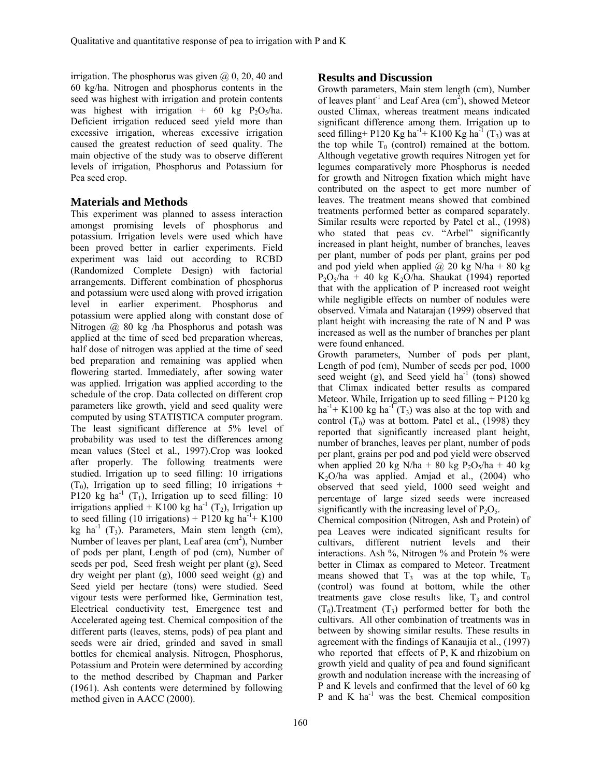irrigation. The phosphorus was given  $(2, 0, 20, 40, 40)$ 60 kg/ha. Nitrogen and phosphorus contents in the seed was highest with irrigation and protein contents was highest with irrigation + 60 kg  $P_2O_5/ha$ . Deficient irrigation reduced seed yield more than excessive irrigation, whereas excessive irrigation caused the greatest reduction of seed quality. The main objective of the study was to observe different levels of irrigation, Phosphorus and Potassium for Pea seed crop.

## **Materials and Methods**

This experiment was planned to assess interaction amongst promising levels of phosphorus and potassium. Irrigation levels were used which have been proved better in earlier experiments. Field experiment was laid out according to RCBD (Randomized Complete Design) with factorial arrangements. Different combination of phosphorus and potassium were used along with proved irrigation level in earlier experiment. Phosphorus and potassium were applied along with constant dose of Nitrogen @ 80 kg /ha Phosphorus and potash was applied at the time of seed bed preparation whereas, half dose of nitrogen was applied at the time of seed bed preparation and remaining was applied when flowering started. Immediately, after sowing water was applied. Irrigation was applied according to the schedule of the crop. Data collected on different crop parameters like growth, yield and seed quality were computed by using STATISTICA computer program. The least significant difference at 5% level of probability was used to test the differences among mean values (Steel et al*.,* 1997).Crop was looked after properly. The following treatments were studied. Irrigation up to seed filling: 10 irrigations  $(T_0)$ , Irrigation up to seed filling; 10 irrigations + P120 kg ha<sup>-1</sup> (T<sub>1</sub>), Irrigation up to seed filling: 10 irrigations applied + K100 kg ha<sup>-1</sup> (T<sub>2</sub>), Irrigation up to seed filling (10 irrigations) + P120 kg ha<sup>-1</sup>+ K100 kg ha<sup>-1</sup>  $(T_3)$ . Parameters, Main stem length (cm), Number of leaves per plant, Leaf area (cm<sup>2</sup>), Number of pods per plant, Length of pod (cm), Number of seeds per pod, Seed fresh weight per plant (g), Seed dry weight per plant (g), 1000 seed weight (g) and Seed yield per hectare (tons) were studied. Seed vigour tests were performed like, Germination test, Electrical conductivity test, Emergence test and Accelerated ageing test. Chemical composition of the different parts (leaves, stems, pods) of pea plant and seeds were air dried, grinded and saved in small bottles for chemical analysis. Nitrogen, Phosphorus, Potassium and Protein were determined by according to the method described by Chapman and Parker (1961). Ash contents were determined by following method given in AACC (2000).

### **Results and Discussion**

Growth parameters, Main stem length (cm), Number of leaves plant<sup>-1</sup> and Leaf Area (cm<sup>2</sup>), showed Meteor ousted Climax, whereas treatment means indicated significant difference among them. Irrigation up to seed filling+ P120 Kg ha<sup>-1</sup>+ K100 Kg ha<sup>-1</sup> (T<sub>3</sub>) was at the top while  $T_0$  (control) remained at the bottom. Although vegetative growth requires Nitrogen yet for legumes comparatively more Phosphorus is needed for growth and Nitrogen fixation which might have contributed on the aspect to get more number of leaves. The treatment means showed that combined treatments performed better as compared separately. Similar results were reported by Patel et al., (1998) who stated that peas cv. "Arbel" significantly increased in plant height, number of branches, leaves per plant, number of pods per plant, grains per pod and pod yield when applied  $\omega$  20 kg N/ha + 80 kg  $P_2O_5/ha + 40$  kg K<sub>2</sub>O/ha. Shaukat (1994) reported that with the application of P increased root weight while negligible effects on number of nodules were observed. Vimala and Natarajan (1999) observed that plant height with increasing the rate of N and P was increased as well as the number of branches per plant were found enhanced.

Growth parameters, Number of pods per plant, Length of pod (cm), Number of seeds per pod, 1000 seed weight (g), and Seed yield  $ha^{-1}$  (tons) showed that Climax indicated better results as compared Meteor. While, Irrigation up to seed filling  $+P120 \text{ kg}$ ha<sup>-1</sup>+ K100 kg ha<sup>-1</sup>(T<sub>3</sub>) was also at the top with and control  $(T_0)$  was at bottom. Patel et al., (1998) they reported that significantly increased plant height, number of branches, leaves per plant, number of pods per plant, grains per pod and pod yield were observed when applied 20 kg N/ha + 80 kg P<sub>2</sub>O<sub>5</sub>/ha + 40 kg  $K<sub>2</sub>O/ha$  was applied. Amjad et al.,  $(2004)$  who observed that seed yield, 1000 seed weight and percentage of large sized seeds were increased significantly with the increasing level of  $P_2O_5$ .

Chemical composition (Nitrogen, Ash and Protein) of pea Leaves were indicated significant results for cultivars, different nutrient levels and their interactions. Ash %, Nitrogen % and Protein % were better in Climax as compared to Meteor. Treatment means showed that  $T_3$  was at the top while,  $T_0$ (control) was found at bottom, while the other treatments gave close results like,  $T_3$  and control  $(T_0)$ . Treatment  $(T_3)$  performed better for both the cultivars. All other combination of treatments was in between by showing similar results. These results in agreement with the findings of Kanaujia et al., (1997) who reported that effects of P, K and rhizobium on growth yield and quality of pea and found significant growth and nodulation increase with the increasing of P and K levels and confirmed that the level of 60 kg P and K  $ha^{-1}$  was the best. Chemical composition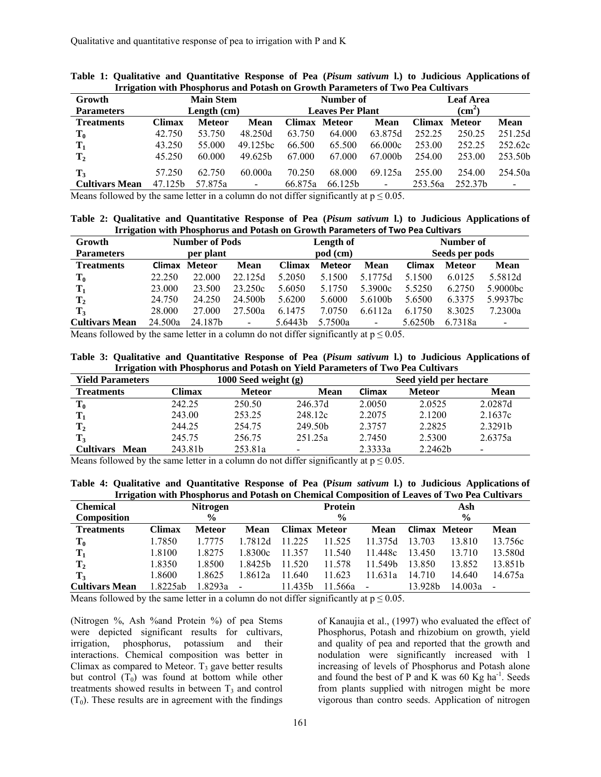| Growth<br><b>Parameters</b> | <b>Main Stem</b><br>Length (cm) |               |                          |               | Number of<br><b>Leaves Per Plant</b> |                 | <b>Leaf Area</b><br>$\textbf{(cm}^2)$ |               |                     |
|-----------------------------|---------------------------------|---------------|--------------------------|---------------|--------------------------------------|-----------------|---------------------------------------|---------------|---------------------|
| <b>Treatments</b>           | Climax                          | <b>Meteor</b> | Mean                     | <b>Climax</b> | <b>Meteor</b>                        | <b>Mean</b>     | Climax                                | <b>Meteor</b> | Mean                |
| $\mathbf{T_0}$              | 42.750                          | 53.750        | 48.250d                  | 63.750        | 64.000                               | 63.875d         | 252.25                                | 250.25        | 251.25d             |
| $\mathbf{T}_1$              | 43.250                          | 55.000        | 49.125 <sub>hc</sub>     | 66.500        | 65.500                               | 66.000c         | 253.00                                | 252.25        | 252.62c             |
| $\mathbf{T}_2$              | 45.250                          | 60.000        | 49.625b                  | 67.000        | 67.000                               | 67.000b         | 254.00                                | 253.00        | 253.50 <sub>h</sub> |
| $\mathbf{T}_3$              | 57.250                          | 62.750        | 60.000a                  | 70.250        | 68.000                               | 69.125a         | 255.00                                | 254.00        | 254.50a             |
| <b>Cultivars Mean</b>       | 47.125b                         | 57.875a       | $\overline{\phantom{a}}$ | 66.875a       | 66.125b                              | $\qquad \qquad$ | 253.56a                               | 252.37b       | $\blacksquare$      |

|  |  |                                                                                 |  |  |  | Table 1: Qualitative and Quantitative Response of Pea (Pisum sativum 1.) to Judicious Applications of |
|--|--|---------------------------------------------------------------------------------|--|--|--|-------------------------------------------------------------------------------------------------------|
|  |  | Irrigation with Phosphorus and Potash on Growth Parameters of Two Pea Cultivars |  |  |  |                                                                                                       |

Means followed by the same letter in a column do not differ significantly at  $p \le 0.05$ .

#### **Table 2: Qualitative and Quantitative Response of Pea (***Pisum sativum* **l.) to Judicious Applications of Irrigation with Phosphorus and Potash on Growth Parameters of Two Pea Cultivars**

| Growth                |         | <b>Number of Pods</b> |                |         | Length of     |                |         | Number of      |                      |  |  |
|-----------------------|---------|-----------------------|----------------|---------|---------------|----------------|---------|----------------|----------------------|--|--|
| <b>Parameters</b>     |         | per plant             |                |         | pod (cm)      |                |         | Seeds per pods |                      |  |  |
| <b>Treatments</b>     | Climax  | Meteor                | <b>Mean</b>    | Climax  | <b>Meteor</b> | <b>Mean</b>    | Climax  | <b>Meteor</b>  | <b>Mean</b>          |  |  |
| $\mathbf{T_0}$        | 22.250  | 22,000                | 22.125d        | 5.2050  | 5.1500        | 5.1775d        | 5.1500  | 6.0125         | 5.5812d              |  |  |
| $\mathbf{T}_1$        | 23,000  | 23.500                | 23.250c        | 5.6050  | 5.1750        | 5.3900c        | 5.5250  | 6.2750         | 5.9000bc             |  |  |
| $\mathbf{T}_2$        | 24.750  | 24.250                | 24.500b        | 5.6200  | 5.6000        | 5.6100b        | 5.6500  | 6.3375         | 5.9937 <sub>bc</sub> |  |  |
| $\mathbf{T}_3$        | 28,000  | 27,000                | 27.500a        | 6.1475  | 7.0750        | 6.6112a        | 6.1750  | 8.3025         | 7.2300a              |  |  |
| <b>Cultivars Mean</b> | 24.500a | 24.187b               | $\blacksquare$ | 5.6443b | 5.7500a       | $\blacksquare$ | 5.6250b | 6.7318a        | $\blacksquare$       |  |  |

Means followed by the same letter in a column do not differ significantly at  $p \le 0.05$ .

**Table 3: Qualitative and Quantitative Response of Pea (***Pisum sativum* **l.) to Judicious Applications of Irrigation with Phosphorus and Potash on Yield Parameters of Two Pea Cultivars** 

| <b>Yield Parameters</b> |         | 1000 Seed weight (g) |                     | Seed yield per hectare |               |             |  |
|-------------------------|---------|----------------------|---------------------|------------------------|---------------|-------------|--|
| <b>Treatments</b>       | Climax  | <b>Meteor</b>        | <b>Mean</b>         | Climax                 | <b>Meteor</b> | <b>Mean</b> |  |
| $\mathbf{T_0}$          | 242.25  | 250.50               | 246.37d             | 2.0050                 | 2.0525        | 2.0287d     |  |
| $\mathbf{T}_1$          | 243.00  | 253 25               | 248.12c             | 2.2075                 | 2.1200        | 2.1637c     |  |
| $\mathbf{T}_2$          | 244.25  | 254.75               | 249.50 <sub>b</sub> | 2 3 7 5 7              | 2.2825        | 2.3291b     |  |
| $\mathbf{T}_3$          | 245.75  | 256.75               | 251.25a             | 2.7450                 | 2.5300        | 2.6375a     |  |
| <b>Cultivars</b> Mean   | 243.81b | 253.81a              |                     | 2.3333a                | 2.2462b       |             |  |

Means followed by the same letter in a column do not differ significantly at  $p \le 0.05$ .

**Table 4: Qualitative and Quantitative Response of Pea (P***isum sativum* **l.) to Judicious Applications of Irrigation with Phosphorus and Potash on Chemical Composition of Leaves of Two Pea Cultivars** 

| <b>Chemical</b>       |               | Nitrogen      |         |                      | Protein       |                          |                      | Ash     |             |  |
|-----------------------|---------------|---------------|---------|----------------------|---------------|--------------------------|----------------------|---------|-------------|--|
| Composition           | $\frac{0}{0}$ |               |         |                      | $\frac{6}{9}$ |                          | $\frac{0}{0}$        |         |             |  |
| <b>Treatments</b>     | Climax        | <b>Meteor</b> | Mean    | <b>Climax Meteor</b> |               | Mean                     | <b>Climax Meteor</b> |         | <b>Mean</b> |  |
| $T_0$                 | 1.7850        | 1.7775        | 1 7812d | 11 225               | 11.525        | 11 375d                  | 13.703               | 13.810  | 13.756c     |  |
| $\mathbf{T}_1$        | 1.8100        | 1.8275        | 1.8300c | 11 357               | 11.540        | 11.448c                  | 13.450               | 13.710  | 13.580d     |  |
| $\mathbf{T}_2$        | 1.8350        | 1.8500        | 1.8425b | 11.520               | 11.578        | 11.549b                  | 13.850               | 13.852  | 13.851b     |  |
| $T_3$                 | 1.8600        | 1.8625        | 1 8612a | 11.640               | 11.623        | 1.631a                   | 14.710               | 14.640  | 14.675a     |  |
| <b>Cultivars Mean</b> | .8225ab       | l.8293a       |         | 11.435b              | 11.566a       | $\overline{\phantom{a}}$ | 13.928b              | 14.003a |             |  |

Means followed by the same letter in a column do not differ significantly at  $p \le 0.05$ .

(Nitrogen %, Ash %and Protein %) of pea Stems were depicted significant results for cultivars, irrigation, phosphorus, potassium and their interactions. Chemical composition was better in Climax as compared to Meteor.  $T_3$  gave better results but control  $(T_0)$  was found at bottom while other treatments showed results in between  $T_3$  and control  $(T_0)$ . These results are in agreement with the findings

of Kanaujia et al., (1997) who evaluated the effect of Phosphorus, Potash and rhizobium on growth, yield and quality of pea and reported that the growth and nodulation were significantly increased with l increasing of levels of Phosphorus and Potash alone and found the best of P and K was  $60$  Kg ha<sup>-1</sup>. Seeds from plants supplied with nitrogen might be more vigorous than contro seeds. Application of nitrogen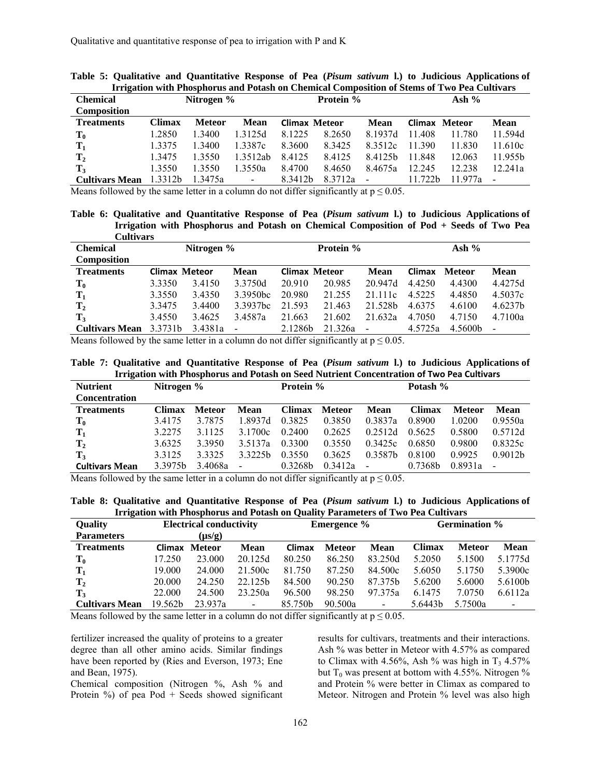| Chemical              | Nitrogen % |               |                          | Protein %            |         |                              | Ash $%$       |        |                     |
|-----------------------|------------|---------------|--------------------------|----------------------|---------|------------------------------|---------------|--------|---------------------|
| <b>Composition</b>    |            |               |                          |                      |         |                              |               |        |                     |
| <b>Treatments</b>     | Climax     | <b>Meteor</b> | <b>Mean</b>              | <b>Climax Meteor</b> |         | Mean                         | Climax Meteor |        | <b>Mean</b>         |
| $\mathbf{T_0}$        | 1.2850     | .3400         | 1.3125d                  | 8.1225               | 8.2650  | 8 1937d                      | 11.408        | 11.780 | 11.594d             |
| $\mathbf{T}_1$        | 1.3375     | 1.3400        | 1.3387c                  | 8.3600               | 8.3425  | 8.3512c                      | 11.390        | 11.830 | 11.610c             |
| $\mathbf{T}_2$        | 1.3475     | 3550          | 1 3512ab                 | 8.4125               | 8.4125  | 84125h                       | 11.848        | 12.063 | 11.955 <sub>h</sub> |
| $\mathbf{T}_3$        | 1.3550     | 1.3550        | 1.3550a                  | 8.4700               | 8.4650  | 8.4675a                      | 12.245        | 12.238 | 12.241a             |
| <b>Cultivars Mean</b> | 1.3312b    | 1.3475a       | $\overline{\phantom{a}}$ | 8.3412b              | 8.3712a | $\qquad \qquad \blacksquare$ | 11.722b       | 977a   |                     |

**Table 5: Qualitative and Quantitative Response of Pea (***Pisum sativum* **l.) to Judicious Applications of Irrigation with Phosphorus and Potash on Chemical Composition of Stems of Two Pea Cultivars** 

Means followed by the same letter in a column do not differ significantly at  $p \le 0.05$ .

**Table 6: Qualitative and Quantitative Response of Pea (***Pisum sativum* **l.) to Judicious Applications of Irrigation with Phosphorus and Potash on Chemical Composition of Pod + Seeds of Two Pea Cultivars**

| <b>Chemical</b>       | Nitrogen $%$         |         |                          | Protein %            |         |                          | Ash $%$ |               |         |
|-----------------------|----------------------|---------|--------------------------|----------------------|---------|--------------------------|---------|---------------|---------|
| <b>Composition</b>    |                      |         |                          |                      |         |                          |         |               |         |
| <b>Treatments</b>     | <b>Climax Meteor</b> |         | Mean                     | <b>Climax Meteor</b> |         | Mean                     | Climax  | <b>Meteor</b> | Mean    |
| $\mathbf{T_0}$        | 3.3350               | 3.4150  | 3.3750d                  | 20.910               | 20.985  | 20.947d                  | 4.4250  | 4.4300        | 4.4275d |
| $T_1$                 | 3.3550               | 3.4350  | 3.3950 <sub>bc</sub>     | 20.980               | 21.255  | 21.111c                  | 4.5225  | 4.4850        | 4.5037c |
| $\mathbf{T}_2$        | 3.3475               | 3.4400  | 3.3937 <sub>bc</sub>     | 21.593               | 21.463  | 21.528b                  | 4.6375  | 4.6100        | 4.6237b |
| $\mathbf{T}_3$        | 3.4550               | 3.4625  | 3.4587a                  | 21.663               | 21.602  | 21.632a                  | 4.7050  | 4.7150        | 4.7100a |
| <b>Cultivars Mean</b> | 3.3731b              | 3.4381a | $\overline{\phantom{a}}$ | 2.1286b              | 21.326a | $\overline{\phantom{a}}$ | 4.5725a | 4.5600b       |         |

Means followed by the same letter in a column do not differ significantly at  $p \le 0.05$ .

**Table 7: Qualitative and Quantitative Response of Pea (***Pisum sativum* **l.) to Judicious Applications of Irrigation with Phosphorus and Potash on Seed Nutrient Concentration of Two Pea Cultivars**

| <b>Nutrient</b>       | Nitrogen %          |               |             | Protein %     |               |                | Potash % |               |                     |
|-----------------------|---------------------|---------------|-------------|---------------|---------------|----------------|----------|---------------|---------------------|
| <b>Concentration</b>  |                     |               |             |               |               |                |          |               |                     |
| <b>Treatments</b>     | <b>Climax</b>       | <b>Meteor</b> | <b>Mean</b> | <b>Climax</b> | <b>Meteor</b> | Mean           | Climax   | <b>Meteor</b> | <b>Mean</b>         |
| $\mathbf{T_0}$        | 3.4175              | 3.7875        | 1.8937d     | 0.3825        | 0.3850        | 0.3837a        | 0.8900   | 1.0200        | 0.9550a             |
| $\mathbf{T}_1$        | 3.2275              | 3.1125        | 3.1700c     | 0.2400        | 0.2625        | 0.2512d        | 0.5625   | 0.5800        | 0.5712d             |
| $T_2$                 | 3.6325              | 3.3950        | 3.5137a     | 0.3300        | 0.3550        | 0.3425c        | 0.6850   | 0.9800        | 0.8325c             |
| $T_3$                 | 3.3125              | 3.3325        | 3 3225h     | 0.3550        | 0.3625        | 0.3587b        | 0.8100   | 0.9925        | 0.9012 <sub>b</sub> |
| <b>Cultivars Mean</b> | 3.3975 <sub>h</sub> | 3.4068a       |             | 0.3268b       | 0.3412a       | $\overline{a}$ | 0.7368b  | 0.8931a       |                     |

Means followed by the same letter in a column do not differ significantly at  $p \le 0.05$ .

**Table 8: Qualitative and Quantitative Response of Pea (***Pisum sativum* **l.) to Judicious Applications of Irrigation with Phosphorus and Potash on Quality Parameters of Two Pea Cultivars** 

| <b>Quality</b>        |               | <b>Electrical conductivity</b> |                |         | <b>Emergence</b> % |                     | <b>Germination</b> % |               |                |
|-----------------------|---------------|--------------------------------|----------------|---------|--------------------|---------------------|----------------------|---------------|----------------|
| <b>Parameters</b>     |               | $(\mu s/g)$                    |                |         |                    |                     |                      |               |                |
| <b>Treatments</b>     | <b>Climax</b> | Meteor                         | Mean           | Climax  | <b>Meteor</b>      | Mean                | Climax               | <b>Meteor</b> | <b>Mean</b>    |
| $\mathbf{T_0}$        | 17.250        | 23.000                         | 20.125d        | 80.250  | 86.250             | 83.250d             | 5.2050               | 5.1500        | 5.1775d        |
| $\mathbf{T}_1$        | 19.000        | 24.000                         | 21.500c        | 81.750  | 87.250             | 84.500c             | 5.6050               | 5.1750        | 5.3900c        |
| $\mathbf{T}_2$        | 20.000        | 24.250                         | 22.125b        | 84.500  | 90.250             | 87.375 <sub>h</sub> | 5.6200               | 5.6000        | 5.6100b        |
| $T_3$                 | 22.000        | 24.500                         | 23.250a        | 96.500  | 98.250             | 97.375a             | 6.1475               | 7.0750        | 6.6112a        |
| <b>Cultivars Mean</b> | 19.562b       | 23.937a                        | $\blacksquare$ | 85.750b | 90.500a            | $\blacksquare$      | 5.6443b              | 5.7500a       | $\blacksquare$ |

Means followed by the same letter in a column do not differ significantly at  $p \le 0.05$ .

fertilizer increased the quality of proteins to a greater degree than all other amino acids. Similar findings have been reported by (Ries and Everson, 1973; Ene and Bean, 1975).

Chemical composition (Nitrogen %, Ash % and Protein %) of pea Pod + Seeds showed significant

results for cultivars, treatments and their interactions. Ash % was better in Meteor with 4.57% as compared to Climax with 4.56%, Ash % was high in  $T_3$  4.57% but  $T_0$  was present at bottom with 4.55%. Nitrogen % and Protein % were better in Climax as compared to Meteor. Nitrogen and Protein % level was also high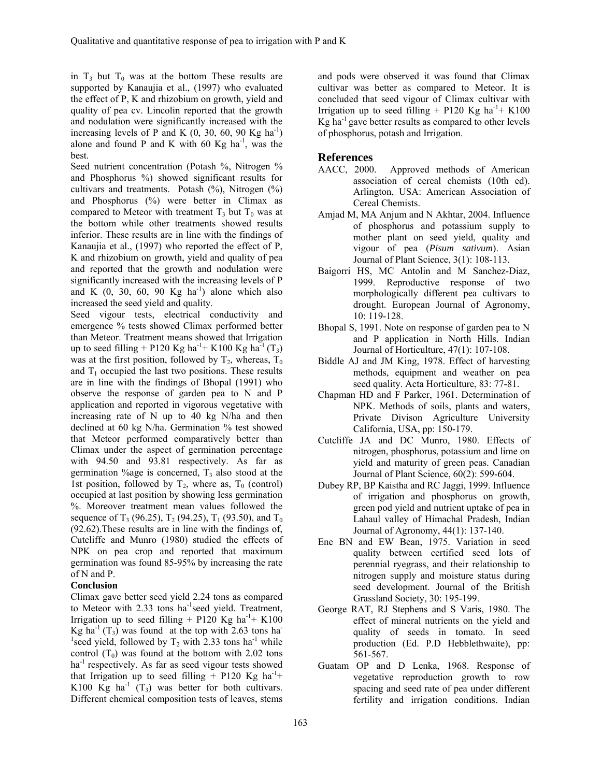in  $T_3$  but  $T_0$  was at the bottom These results are supported by Kanaujia et al., (1997) who evaluated the effect of P, K and rhizobium on growth, yield and quality of pea cv. Lincolin reported that the growth and nodulation were significantly increased with the increasing levels of P and K  $(0, 30, 60, 90$  Kg ha<sup>-1</sup>) alone and found P and K with 60 Kg ha $^{-1}$ , was the best.

Seed nutrient concentration (Potash %, Nitrogen % and Phosphorus %) showed significant results for cultivars and treatments. Potash  $(\%)$ , Nitrogen  $(\%)$ and Phosphorus (%) were better in Climax as compared to Meteor with treatment  $T_3$  but  $T_0$  was at the bottom while other treatments showed results inferior. These results are in line with the findings of Kanaujia et al., (1997) who reported the effect of P, K and rhizobium on growth, yield and quality of pea and reported that the growth and nodulation were significantly increased with the increasing levels of P and K  $(0, 30, 60, 90$  Kg ha<sup>-1</sup>) alone which also increased the seed yield and quality.

Seed vigour tests, electrical conductivity and emergence % tests showed Climax performed better than Meteor. Treatment means showed that Irrigation up to seed filling + P120 Kg ha<sup>-1</sup>+ K100 Kg ha<sup>-1</sup> (T<sub>3</sub>) was at the first position, followed by  $T_2$ , whereas,  $T_0$ and  $T_1$  occupied the last two positions. These results are in line with the findings of Bhopal (1991) who observe the response of garden pea to N and P application and reported in vigorous vegetative with increasing rate of N up to 40 kg N/ha and then declined at 60 kg N/ha. Germination % test showed that Meteor performed comparatively better than Climax under the aspect of germination percentage with 94.50 and 93.81 respectively. As far as germination  $\%$ age is concerned,  $T_3$  also stood at the 1st position, followed by  $T_2$ , where as,  $T_0$  (control) occupied at last position by showing less germination %. Moreover treatment mean values followed the sequence of  $T_3$  (96.25),  $T_2$  (94.25),  $T_1$  (93.50), and  $T_0$ (92.62).These results are in line with the findings of, Cutcliffe and Munro (1980) studied the effects of NPK on pea crop and reported that maximum germination was found 85-95% by increasing the rate of N and P.

### **Conclusion**

Climax gave better seed yield 2.24 tons as compared to Meteor with  $2.33$  tons ha<sup>-1</sup>seed yield. Treatment, Irrigation up to seed filling + P120 Kg ha<sup>-1</sup>+ K100 Kg ha<sup>-1</sup> (T<sub>3</sub>) was found at the top with 2.63 tons ha<sup>-</sup> <sup>1</sup>seed yield, followed by  $T_2$  with 2.33 tons ha<sup>-1</sup> while control  $(T_0)$  was found at the bottom with 2.02 tons  $ha<sup>-1</sup>$  respectively. As far as seed vigour tests showed that Irrigation up to seed filling + P120 Kg ha<sup>-1</sup>+ K100 Kg ha<sup>-1</sup>  $(T_3)$  was better for both cultivars. Different chemical composition tests of leaves, stems

and pods were observed it was found that Climax cultivar was better as compared to Meteor. It is concluded that seed vigour of Climax cultivar with Irrigation up to seed filling + P120 Kg ha<sup>-1</sup>+ K100  $Kg$  ha<sup>-1</sup> gave better results as compared to other levels of phosphorus, potash and Irrigation.

### **References**

- AACC, 2000. Approved methods of American association of cereal chemists (10th ed). Arlington, USA: American Association of Cereal Chemists.
- Amjad M, MA Anjum and N Akhtar, 2004. Influence of phosphorus and potassium supply to mother plant on seed yield, quality and vigour of pea (*Pisum sativum*). Asian Journal of Plant Science, 3(1): 108-113.
- Baigorri HS, MC Antolin and M Sanchez-Diaz, 1999. Reproductive response of two morphologically different pea cultivars to drought. European Journal of Agronomy, 10: 119-128.
- Bhopal S, 1991. Note on response of garden pea to N and P application in North Hills. Indian Journal of Horticulture, 47(1): 107-108.
- Biddle AJ and JM King, 1978. Effect of harvesting methods, equipment and weather on pea seed quality. Acta Horticulture, 83: 77-81.
- Chapman HD and F Parker, 1961. Determination of NPK. Methods of soils, plants and waters, Private Divison Agriculture University California, USA, pp: 150-179.
- Cutcliffe JA and DC Munro, 1980. Effects of nitrogen, phosphorus, potassium and lime on yield and maturity of green peas. Canadian Journal of Plant Science, 60(2): 599-604.
- Dubey RP, BP Kaistha and RC Jaggi, 1999. Influence of irrigation and phosphorus on growth, green pod yield and nutrient uptake of pea in Lahaul valley of Himachal Pradesh, Indian Journal of Agronomy, 44(1): 137-140.
- Ene BN and EW Bean, 1975. Variation in seed quality between certified seed lots of perennial ryegrass, and their relationship to nitrogen supply and moisture status during seed development. Journal of the British Grassland Society, 30: 195-199.
- George RAT, RJ Stephens and S Varis, 1980. The effect of mineral nutrients on the yield and quality of seeds in tomato. In seed production (Ed. P.D Hebblethwaite), pp: 561-567.
- Guatam OP and D Lenka, 1968. Response of vegetative reproduction growth to row spacing and seed rate of pea under different fertility and irrigation conditions. Indian